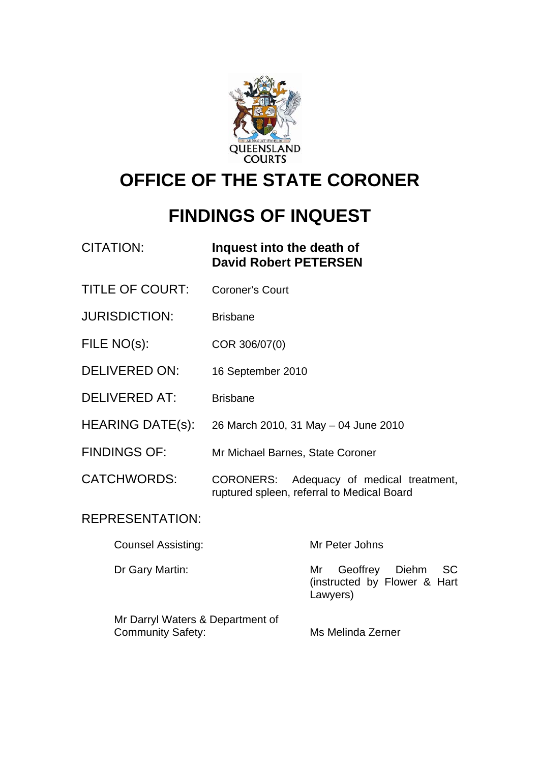

# **OFFICE OF THE STATE CORONER**

# **FINDINGS OF INQUEST**

| <b>CITATION:</b>          | Inquest into the death of<br><b>David Robert PETERSEN</b>                                        |
|---------------------------|--------------------------------------------------------------------------------------------------|
| <b>TITLE OF COURT:</b>    | <b>Coroner's Court</b>                                                                           |
| <b>JURISDICTION:</b>      | <b>Brisbane</b>                                                                                  |
| FILE NO(s):               | COR 306/07(0)                                                                                    |
| <b>DELIVERED ON:</b>      | 16 September 2010                                                                                |
| <b>DELIVERED AT:</b>      | <b>Brisbane</b>                                                                                  |
| <b>HEARING DATE(s):</b>   | 26 March 2010, 31 May - 04 June 2010                                                             |
| <b>FINDINGS OF:</b>       | Mr Michael Barnes, State Coroner                                                                 |
| <b>CATCHWORDS:</b>        | <b>CORONERS:</b><br>Adequacy of medical treatment,<br>ruptured spleen, referral to Medical Board |
| <b>REPRESENTATION:</b>    |                                                                                                  |
| <b>Counsel Assisting:</b> | Mr Peter Johns                                                                                   |
| Dr Gary Martin:           | <b>SC</b><br>Geoffrey Diehm<br>Mr<br>(instructed by Flower & Hart                                |

Mr Darryl Waters & Department of Community Safety: Mis Melinda Zerner

Lawyers)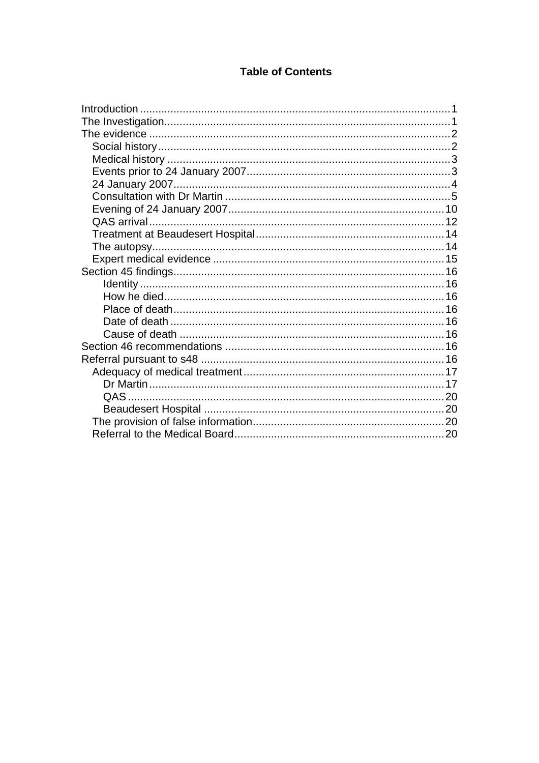#### **Table of Contents**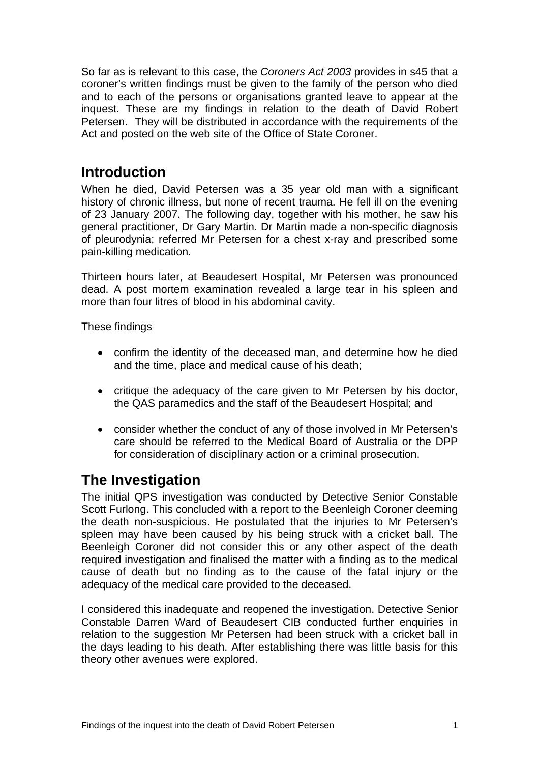<span id="page-2-0"></span>So far as is relevant to this case, the *Coroners Act 2003* provides in s45 that a coroner's written findings must be given to the family of the person who died and to each of the persons or organisations granted leave to appear at the inquest. These are my findings in relation to the death of David Robert Petersen. They will be distributed in accordance with the requirements of the Act and posted on the web site of the Office of State Coroner.

### **Introduction**

When he died, David Petersen was a 35 year old man with a significant history of chronic illness, but none of recent trauma. He fell ill on the evening of 23 January 2007. The following day, together with his mother, he saw his general practitioner, Dr Gary Martin. Dr Martin made a non-specific diagnosis of pleurodynia; referred Mr Petersen for a chest x-ray and prescribed some pain-killing medication.

Thirteen hours later, at Beaudesert Hospital, Mr Petersen was pronounced dead. A post mortem examination revealed a large tear in his spleen and more than four litres of blood in his abdominal cavity.

These findings

- confirm the identity of the deceased man, and determine how he died and the time, place and medical cause of his death;
- critique the adequacy of the care given to Mr Petersen by his doctor, the QAS paramedics and the staff of the Beaudesert Hospital; and
- consider whether the conduct of any of those involved in Mr Petersen's care should be referred to the Medical Board of Australia or the DPP for consideration of disciplinary action or a criminal prosecution.

# **The Investigation**

The initial QPS investigation was conducted by Detective Senior Constable Scott Furlong. This concluded with a report to the Beenleigh Coroner deeming the death non-suspicious. He postulated that the injuries to Mr Petersen's spleen may have been caused by his being struck with a cricket ball. The Beenleigh Coroner did not consider this or any other aspect of the death required investigation and finalised the matter with a finding as to the medical cause of death but no finding as to the cause of the fatal injury or the adequacy of the medical care provided to the deceased.

I considered this inadequate and reopened the investigation. Detective Senior Constable Darren Ward of Beaudesert CIB conducted further enquiries in relation to the suggestion Mr Petersen had been struck with a cricket ball in the days leading to his death. After establishing there was little basis for this theory other avenues were explored.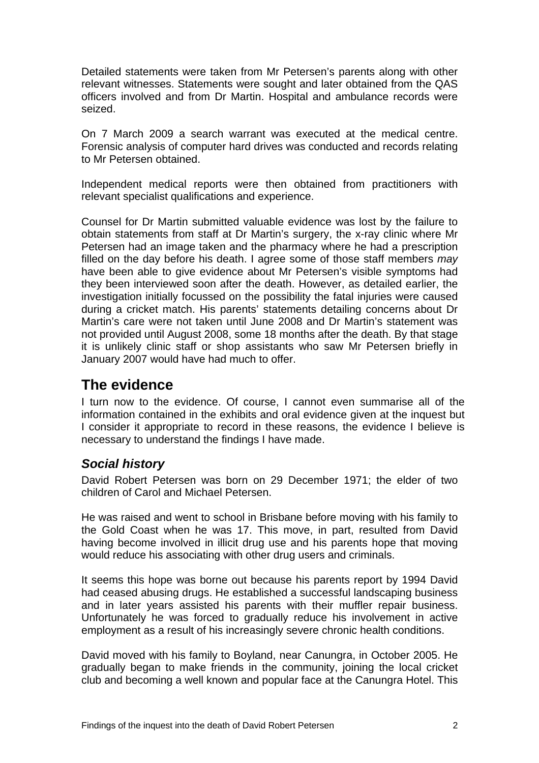<span id="page-3-0"></span>Detailed statements were taken from Mr Petersen's parents along with other relevant witnesses. Statements were sought and later obtained from the QAS officers involved and from Dr Martin. Hospital and ambulance records were seized.

On 7 March 2009 a search warrant was executed at the medical centre. Forensic analysis of computer hard drives was conducted and records relating to Mr Petersen obtained.

Independent medical reports were then obtained from practitioners with relevant specialist qualifications and experience.

Counsel for Dr Martin submitted valuable evidence was lost by the failure to obtain statements from staff at Dr Martin's surgery, the x-ray clinic where Mr Petersen had an image taken and the pharmacy where he had a prescription filled on the day before his death. I agree some of those staff members *may* have been able to give evidence about Mr Petersen's visible symptoms had they been interviewed soon after the death. However, as detailed earlier, the investigation initially focussed on the possibility the fatal injuries were caused during a cricket match. His parents' statements detailing concerns about Dr Martin's care were not taken until June 2008 and Dr Martin's statement was not provided until August 2008, some 18 months after the death. By that stage it is unlikely clinic staff or shop assistants who saw Mr Petersen briefly in January 2007 would have had much to offer.

## **The evidence**

I turn now to the evidence. Of course, I cannot even summarise all of the information contained in the exhibits and oral evidence given at the inquest but I consider it appropriate to record in these reasons, the evidence I believe is necessary to understand the findings I have made.

#### *Social history*

David Robert Petersen was born on 29 December 1971; the elder of two children of Carol and Michael Petersen.

He was raised and went to school in Brisbane before moving with his family to the Gold Coast when he was 17. This move, in part, resulted from David having become involved in illicit drug use and his parents hope that moving would reduce his associating with other drug users and criminals.

It seems this hope was borne out because his parents report by 1994 David had ceased abusing drugs. He established a successful landscaping business and in later years assisted his parents with their muffler repair business. Unfortunately he was forced to gradually reduce his involvement in active employment as a result of his increasingly severe chronic health conditions.

David moved with his family to Boyland, near Canungra, in October 2005. He gradually began to make friends in the community, joining the local cricket club and becoming a well known and popular face at the Canungra Hotel. This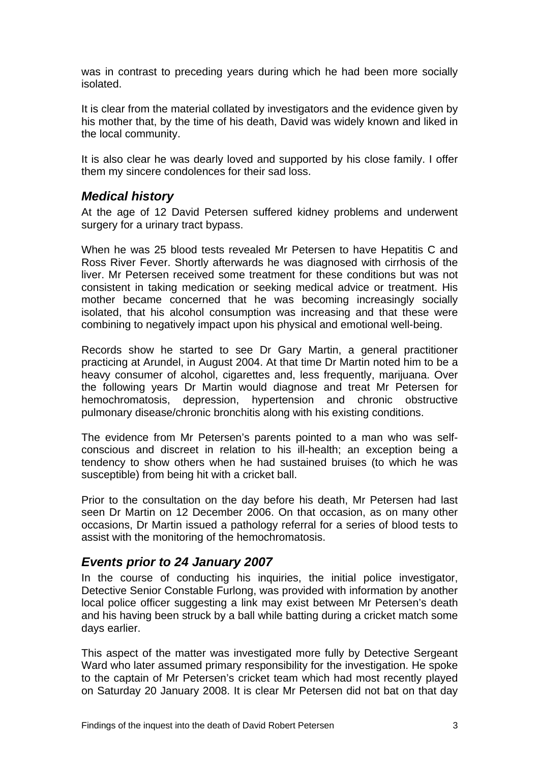<span id="page-4-0"></span>was in contrast to preceding years during which he had been more socially isolated.

It is clear from the material collated by investigators and the evidence given by his mother that, by the time of his death, David was widely known and liked in the local community.

It is also clear he was dearly loved and supported by his close family. I offer them my sincere condolences for their sad loss.

#### *Medical history*

At the age of 12 David Petersen suffered kidney problems and underwent surgery for a urinary tract bypass.

When he was 25 blood tests revealed Mr Petersen to have Hepatitis C and Ross River Fever. Shortly afterwards he was diagnosed with cirrhosis of the liver. Mr Petersen received some treatment for these conditions but was not consistent in taking medication or seeking medical advice or treatment. His mother became concerned that he was becoming increasingly socially isolated, that his alcohol consumption was increasing and that these were combining to negatively impact upon his physical and emotional well-being.

Records show he started to see Dr Gary Martin, a general practitioner practicing at Arundel, in August 2004. At that time Dr Martin noted him to be a heavy consumer of alcohol, cigarettes and, less frequently, marijuana. Over the following years Dr Martin would diagnose and treat Mr Petersen for hemochromatosis, depression, hypertension and chronic obstructive pulmonary disease/chronic bronchitis along with his existing conditions.

The evidence from Mr Petersen's parents pointed to a man who was selfconscious and discreet in relation to his ill-health; an exception being a tendency to show others when he had sustained bruises (to which he was susceptible) from being hit with a cricket ball.

Prior to the consultation on the day before his death, Mr Petersen had last seen Dr Martin on 12 December 2006. On that occasion, as on many other occasions, Dr Martin issued a pathology referral for a series of blood tests to assist with the monitoring of the hemochromatosis.

#### *Events prior to 24 January 2007*

In the course of conducting his inquiries, the initial police investigator, Detective Senior Constable Furlong, was provided with information by another local police officer suggesting a link may exist between Mr Petersen's death and his having been struck by a ball while batting during a cricket match some days earlier.

This aspect of the matter was investigated more fully by Detective Sergeant Ward who later assumed primary responsibility for the investigation. He spoke to the captain of Mr Petersen's cricket team which had most recently played on Saturday 20 January 2008. It is clear Mr Petersen did not bat on that day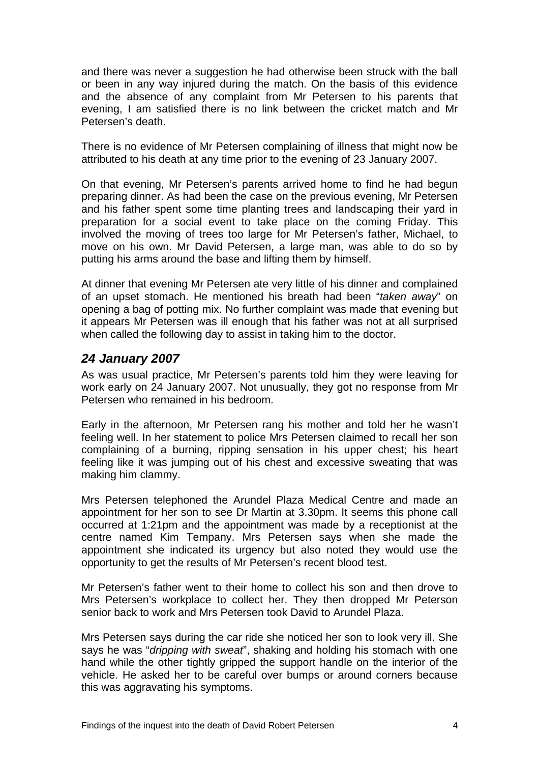<span id="page-5-0"></span>and there was never a suggestion he had otherwise been struck with the ball or been in any way injured during the match. On the basis of this evidence and the absence of any complaint from Mr Petersen to his parents that evening, I am satisfied there is no link between the cricket match and Mr Petersen's death.

There is no evidence of Mr Petersen complaining of illness that might now be attributed to his death at any time prior to the evening of 23 January 2007.

On that evening, Mr Petersen's parents arrived home to find he had begun preparing dinner. As had been the case on the previous evening, Mr Petersen and his father spent some time planting trees and landscaping their yard in preparation for a social event to take place on the coming Friday. This involved the moving of trees too large for Mr Petersen's father, Michael, to move on his own. Mr David Petersen, a large man, was able to do so by putting his arms around the base and lifting them by himself.

At dinner that evening Mr Petersen ate very little of his dinner and complained of an upset stomach. He mentioned his breath had been "*taken away*" on opening a bag of potting mix. No further complaint was made that evening but it appears Mr Petersen was ill enough that his father was not at all surprised when called the following day to assist in taking him to the doctor.

#### *24 January 2007*

As was usual practice, Mr Petersen's parents told him they were leaving for work early on 24 January 2007. Not unusually, they got no response from Mr Petersen who remained in his bedroom.

Early in the afternoon, Mr Petersen rang his mother and told her he wasn't feeling well. In her statement to police Mrs Petersen claimed to recall her son complaining of a burning, ripping sensation in his upper chest; his heart feeling like it was jumping out of his chest and excessive sweating that was making him clammy.

Mrs Petersen telephoned the Arundel Plaza Medical Centre and made an appointment for her son to see Dr Martin at 3.30pm. It seems this phone call occurred at 1:21pm and the appointment was made by a receptionist at the centre named Kim Tempany. Mrs Petersen says when she made the appointment she indicated its urgency but also noted they would use the opportunity to get the results of Mr Petersen's recent blood test.

Mr Petersen's father went to their home to collect his son and then drove to Mrs Petersen's workplace to collect her. They then dropped Mr Peterson senior back to work and Mrs Petersen took David to Arundel Plaza.

Mrs Petersen says during the car ride she noticed her son to look very ill. She says he was "*dripping with sweat*", shaking and holding his stomach with one hand while the other tightly gripped the support handle on the interior of the vehicle. He asked her to be careful over bumps or around corners because this was aggravating his symptoms.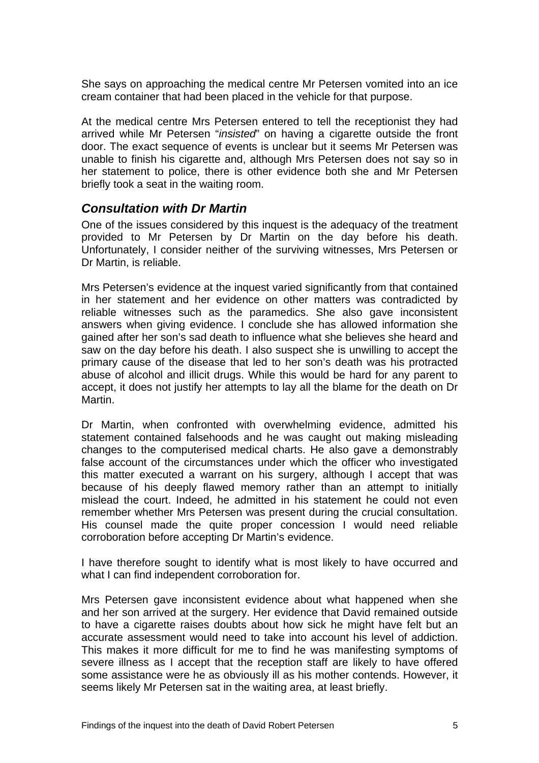<span id="page-6-0"></span>She says on approaching the medical centre Mr Petersen vomited into an ice cream container that had been placed in the vehicle for that purpose.

At the medical centre Mrs Petersen entered to tell the receptionist they had arrived while Mr Petersen "*insisted*" on having a cigarette outside the front door. The exact sequence of events is unclear but it seems Mr Petersen was unable to finish his cigarette and, although Mrs Petersen does not say so in her statement to police, there is other evidence both she and Mr Petersen briefly took a seat in the waiting room.

#### *Consultation with Dr Martin*

One of the issues considered by this inquest is the adequacy of the treatment provided to Mr Petersen by Dr Martin on the day before his death. Unfortunately, I consider neither of the surviving witnesses, Mrs Petersen or Dr Martin, is reliable.

Mrs Petersen's evidence at the inquest varied significantly from that contained in her statement and her evidence on other matters was contradicted by reliable witnesses such as the paramedics. She also gave inconsistent answers when giving evidence. I conclude she has allowed information she gained after her son's sad death to influence what she believes she heard and saw on the day before his death. I also suspect she is unwilling to accept the primary cause of the disease that led to her son's death was his protracted abuse of alcohol and illicit drugs. While this would be hard for any parent to accept, it does not justify her attempts to lay all the blame for the death on Dr Martin.

Dr Martin, when confronted with overwhelming evidence, admitted his statement contained falsehoods and he was caught out making misleading changes to the computerised medical charts. He also gave a demonstrably false account of the circumstances under which the officer who investigated this matter executed a warrant on his surgery, although I accept that was because of his deeply flawed memory rather than an attempt to initially mislead the court. Indeed, he admitted in his statement he could not even remember whether Mrs Petersen was present during the crucial consultation. His counsel made the quite proper concession I would need reliable corroboration before accepting Dr Martin's evidence.

I have therefore sought to identify what is most likely to have occurred and what I can find independent corroboration for.

Mrs Petersen gave inconsistent evidence about what happened when she and her son arrived at the surgery. Her evidence that David remained outside to have a cigarette raises doubts about how sick he might have felt but an accurate assessment would need to take into account his level of addiction. This makes it more difficult for me to find he was manifesting symptoms of severe illness as I accept that the reception staff are likely to have offered some assistance were he as obviously ill as his mother contends. However, it seems likely Mr Petersen sat in the waiting area, at least briefly.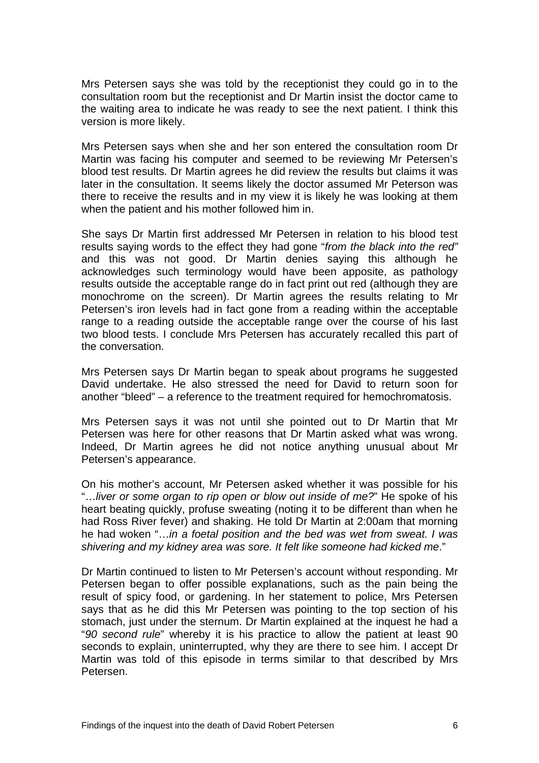Mrs Petersen says she was told by the receptionist they could go in to the consultation room but the receptionist and Dr Martin insist the doctor came to the waiting area to indicate he was ready to see the next patient. I think this version is more likely.

Mrs Petersen says when she and her son entered the consultation room Dr Martin was facing his computer and seemed to be reviewing Mr Petersen's blood test results. Dr Martin agrees he did review the results but claims it was later in the consultation. It seems likely the doctor assumed Mr Peterson was there to receive the results and in my view it is likely he was looking at them when the patient and his mother followed him in.

She says Dr Martin first addressed Mr Petersen in relation to his blood test results saying words to the effect they had gone "*from the black into the red"* and this was not good. Dr Martin denies saying this although he acknowledges such terminology would have been apposite, as pathology results outside the acceptable range do in fact print out red (although they are monochrome on the screen). Dr Martin agrees the results relating to Mr Petersen's iron levels had in fact gone from a reading within the acceptable range to a reading outside the acceptable range over the course of his last two blood tests. I conclude Mrs Petersen has accurately recalled this part of the conversation.

Mrs Petersen says Dr Martin began to speak about programs he suggested David undertake. He also stressed the need for David to return soon for another "bleed" – a reference to the treatment required for hemochromatosis.

Mrs Petersen says it was not until she pointed out to Dr Martin that Mr Petersen was here for other reasons that Dr Martin asked what was wrong. Indeed, Dr Martin agrees he did not notice anything unusual about Mr Petersen's appearance.

On his mother's account, Mr Petersen asked whether it was possible for his "…*liver or some organ to rip open or blow out inside of me?*" He spoke of his heart beating quickly, profuse sweating (noting it to be different than when he had Ross River fever) and shaking. He told Dr Martin at 2:00am that morning he had woken "…*in a foetal position and the bed was wet from sweat. I was shivering and my kidney area was sore. It felt like someone had kicked me*."

Dr Martin continued to listen to Mr Petersen's account without responding. Mr Petersen began to offer possible explanations, such as the pain being the result of spicy food, or gardening. In her statement to police, Mrs Petersen says that as he did this Mr Petersen was pointing to the top section of his stomach, just under the sternum. Dr Martin explained at the inquest he had a "*90 second rule*" whereby it is his practice to allow the patient at least 90 seconds to explain, uninterrupted, why they are there to see him. I accept Dr Martin was told of this episode in terms similar to that described by Mrs Petersen.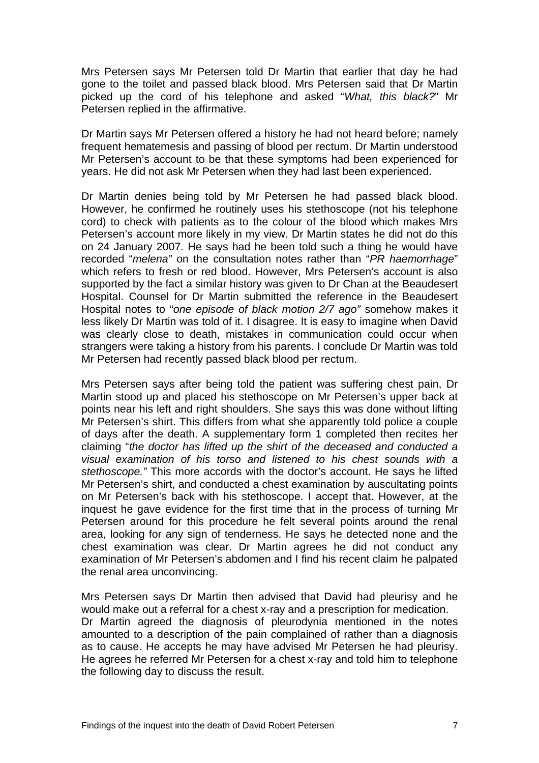Mrs Petersen says Mr Petersen told Dr Martin that earlier that day he had gone to the toilet and passed black blood. Mrs Petersen said that Dr Martin picked up the cord of his telephone and asked "*What, this black?*" Mr Petersen replied in the affirmative.

Dr Martin says Mr Petersen offered a history he had not heard before; namely frequent hematemesis and passing of blood per rectum. Dr Martin understood Mr Petersen's account to be that these symptoms had been experienced for years. He did not ask Mr Petersen when they had last been experienced.

Dr Martin denies being told by Mr Petersen he had passed black blood. However, he confirmed he routinely uses his stethoscope (not his telephone cord) to check with patients as to the colour of the blood which makes Mrs Petersen's account more likely in my view. Dr Martin states he did not do this on 24 January 2007. He says had he been told such a thing he would have recorded "*melena"* on the consultation notes rather than "*PR haemorrhage*" which refers to fresh or red blood. However, Mrs Petersen's account is also supported by the fact a similar history was given to Dr Chan at the Beaudesert Hospital. Counsel for Dr Martin submitted the reference in the Beaudesert Hospital notes to "*one episode of black motion 2/7 ago"* somehow makes it less likely Dr Martin was told of it. I disagree. It is easy to imagine when David was clearly close to death, mistakes in communication could occur when strangers were taking a history from his parents. I conclude Dr Martin was told Mr Petersen had recently passed black blood per rectum.

Mrs Petersen says after being told the patient was suffering chest pain, Dr Martin stood up and placed his stethoscope on Mr Petersen's upper back at points near his left and right shoulders. She says this was done without lifting Mr Petersen's shirt. This differs from what she apparently told police a couple of days after the death. A supplementary form 1 completed then recites her claiming "*the doctor has lifted up the shirt of the deceased and conducted a visual examination of his torso and listened to his chest sounds with a stethoscope."* This more accords with the doctor's account. He says he lifted Mr Petersen's shirt, and conducted a chest examination by auscultating points on Mr Petersen's back with his stethoscope. I accept that. However, at the inquest he gave evidence for the first time that in the process of turning Mr Petersen around for this procedure he felt several points around the renal area, looking for any sign of tenderness. He says he detected none and the chest examination was clear. Dr Martin agrees he did not conduct any examination of Mr Petersen's abdomen and I find his recent claim he palpated the renal area unconvincing.

Mrs Petersen says Dr Martin then advised that David had pleurisy and he would make out a referral for a chest x-ray and a prescription for medication. Dr Martin agreed the diagnosis of pleurodynia mentioned in the notes amounted to a description of the pain complained of rather than a diagnosis as to cause. He accepts he may have advised Mr Petersen he had pleurisy. He agrees he referred Mr Petersen for a chest x-ray and told him to telephone the following day to discuss the result.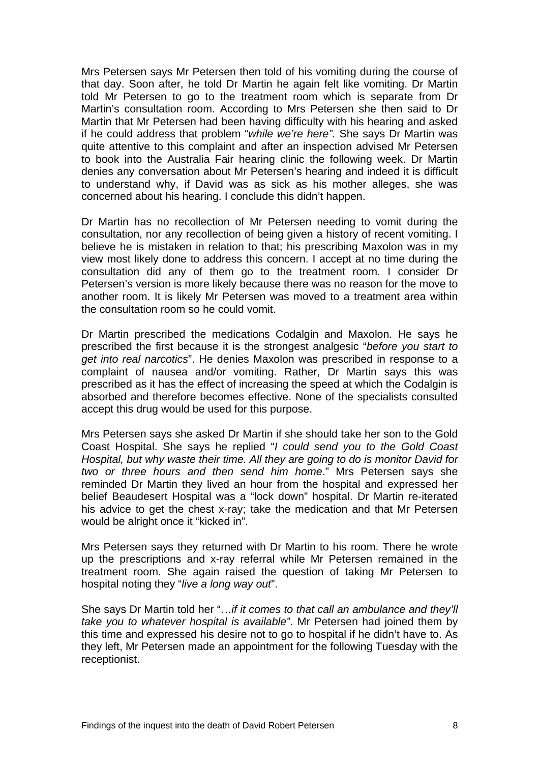Mrs Petersen says Mr Petersen then told of his vomiting during the course of that day. Soon after, he told Dr Martin he again felt like vomiting. Dr Martin told Mr Petersen to go to the treatment room which is separate from Dr Martin's consultation room. According to Mrs Petersen she then said to Dr Martin that Mr Petersen had been having difficulty with his hearing and asked if he could address that problem "*while we're here".* She says Dr Martin was quite attentive to this complaint and after an inspection advised Mr Petersen to book into the Australia Fair hearing clinic the following week. Dr Martin denies any conversation about Mr Petersen's hearing and indeed it is difficult to understand why, if David was as sick as his mother alleges, she was concerned about his hearing. I conclude this didn't happen.

Dr Martin has no recollection of Mr Petersen needing to vomit during the consultation, nor any recollection of being given a history of recent vomiting. I believe he is mistaken in relation to that; his prescribing Maxolon was in my view most likely done to address this concern. I accept at no time during the consultation did any of them go to the treatment room. I consider Dr Petersen's version is more likely because there was no reason for the move to another room. It is likely Mr Petersen was moved to a treatment area within the consultation room so he could vomit.

Dr Martin prescribed the medications Codalgin and Maxolon. He says he prescribed the first because it is the strongest analgesic "*before you start to get into real narcotics*". He denies Maxolon was prescribed in response to a complaint of nausea and/or vomiting. Rather, Dr Martin says this was prescribed as it has the effect of increasing the speed at which the Codalgin is absorbed and therefore becomes effective. None of the specialists consulted accept this drug would be used for this purpose.

Mrs Petersen says she asked Dr Martin if she should take her son to the Gold Coast Hospital. She says he replied "*I could send you to the Gold Coast Hospital, but why waste their time. All they are going to do is monitor David for two or three hours and then send him home*." Mrs Petersen says she reminded Dr Martin they lived an hour from the hospital and expressed her belief Beaudesert Hospital was a "lock down" hospital. Dr Martin re-iterated his advice to get the chest x-ray; take the medication and that Mr Petersen would be alright once it "kicked in".

Mrs Petersen says they returned with Dr Martin to his room. There he wrote up the prescriptions and x-ray referral while Mr Petersen remained in the treatment room. She again raised the question of taking Mr Petersen to hospital noting they "*live a long way out*".

She says Dr Martin told her "…*if it comes to that call an ambulance and they'll take you to whatever hospital is available"*. Mr Petersen had joined them by this time and expressed his desire not to go to hospital if he didn't have to. As they left, Mr Petersen made an appointment for the following Tuesday with the receptionist.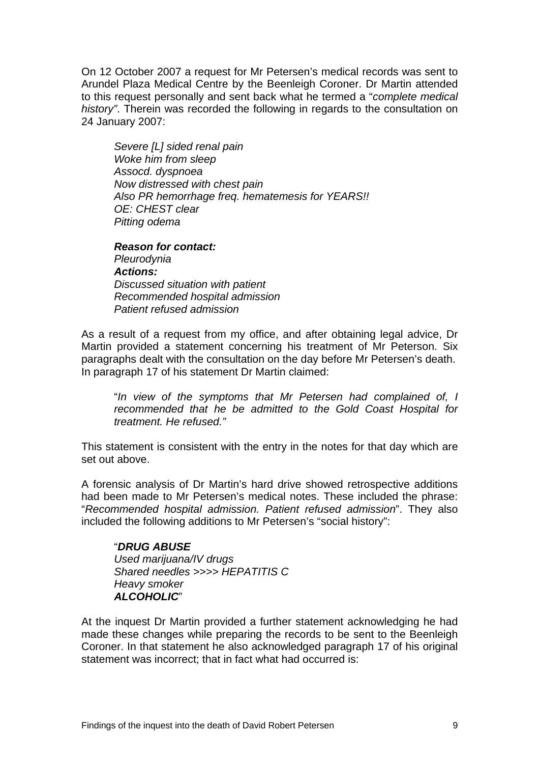On 12 October 2007 a request for Mr Petersen's medical records was sent to Arundel Plaza Medical Centre by the Beenleigh Coroner. Dr Martin attended to this request personally and sent back what he termed a "*complete medical history"*. Therein was recorded the following in regards to the consultation on 24 January 2007:

*Severe [L] sided renal pain Woke him from sleep Assocd. dyspnoea Now distressed with chest pain Also PR hemorrhage freq. hematemesis for YEARS!! OE: CHEST clear Pitting odema* 

*Reason for contact: Pleurodynia Actions: Discussed situation with patient Recommended hospital admission Patient refused admission* 

As a result of a request from my office, and after obtaining legal advice, Dr Martin provided a statement concerning his treatment of Mr Peterson. Six paragraphs dealt with the consultation on the day before Mr Petersen's death. In paragraph 17 of his statement Dr Martin claimed:

"*In view of the symptoms that Mr Petersen had complained of, I recommended that he be admitted to the Gold Coast Hospital for treatment. He refused."* 

This statement is consistent with the entry in the notes for that day which are set out above.

A forensic analysis of Dr Martin's hard drive showed retrospective additions had been made to Mr Petersen's medical notes. These included the phrase: "*Recommended hospital admission. Patient refused admission*". They also included the following additions to Mr Petersen's "social history":

 "*DRUG ABUSE Used marijuana/IV drugs Shared needles >>>> HEPATITIS C Heavy smoker ALCOHOLIC*"

At the inquest Dr Martin provided a further statement acknowledging he had made these changes while preparing the records to be sent to the Beenleigh Coroner. In that statement he also acknowledged paragraph 17 of his original statement was incorrect; that in fact what had occurred is: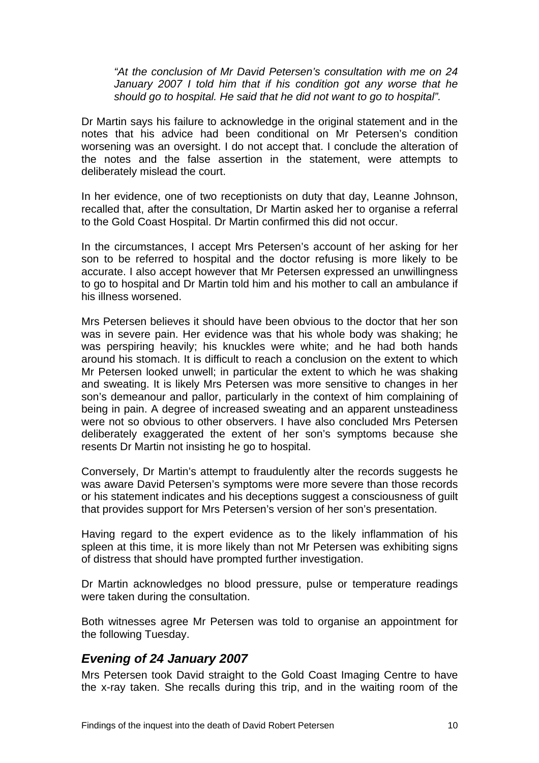<span id="page-11-0"></span>*"At the conclusion of Mr David Petersen's consultation with me on 24 January 2007 I told him that if his condition got any worse that he should go to hospital. He said that he did not want to go to hospital".* 

Dr Martin says his failure to acknowledge in the original statement and in the notes that his advice had been conditional on Mr Petersen's condition worsening was an oversight. I do not accept that. I conclude the alteration of the notes and the false assertion in the statement, were attempts to deliberately mislead the court.

In her evidence, one of two receptionists on duty that day, Leanne Johnson, recalled that, after the consultation, Dr Martin asked her to organise a referral to the Gold Coast Hospital. Dr Martin confirmed this did not occur.

In the circumstances, I accept Mrs Petersen's account of her asking for her son to be referred to hospital and the doctor refusing is more likely to be accurate. I also accept however that Mr Petersen expressed an unwillingness to go to hospital and Dr Martin told him and his mother to call an ambulance if his illness worsened.

Mrs Petersen believes it should have been obvious to the doctor that her son was in severe pain. Her evidence was that his whole body was shaking; he was perspiring heavily; his knuckles were white; and he had both hands around his stomach. It is difficult to reach a conclusion on the extent to which Mr Petersen looked unwell; in particular the extent to which he was shaking and sweating. It is likely Mrs Petersen was more sensitive to changes in her son's demeanour and pallor, particularly in the context of him complaining of being in pain. A degree of increased sweating and an apparent unsteadiness were not so obvious to other observers. I have also concluded Mrs Petersen deliberately exaggerated the extent of her son's symptoms because she resents Dr Martin not insisting he go to hospital.

Conversely, Dr Martin's attempt to fraudulently alter the records suggests he was aware David Petersen's symptoms were more severe than those records or his statement indicates and his deceptions suggest a consciousness of guilt that provides support for Mrs Petersen's version of her son's presentation.

Having regard to the expert evidence as to the likely inflammation of his spleen at this time, it is more likely than not Mr Petersen was exhibiting signs of distress that should have prompted further investigation.

Dr Martin acknowledges no blood pressure, pulse or temperature readings were taken during the consultation.

Both witnesses agree Mr Petersen was told to organise an appointment for the following Tuesday.

#### *Evening of 24 January 2007*

Mrs Petersen took David straight to the Gold Coast Imaging Centre to have the x-ray taken. She recalls during this trip, and in the waiting room of the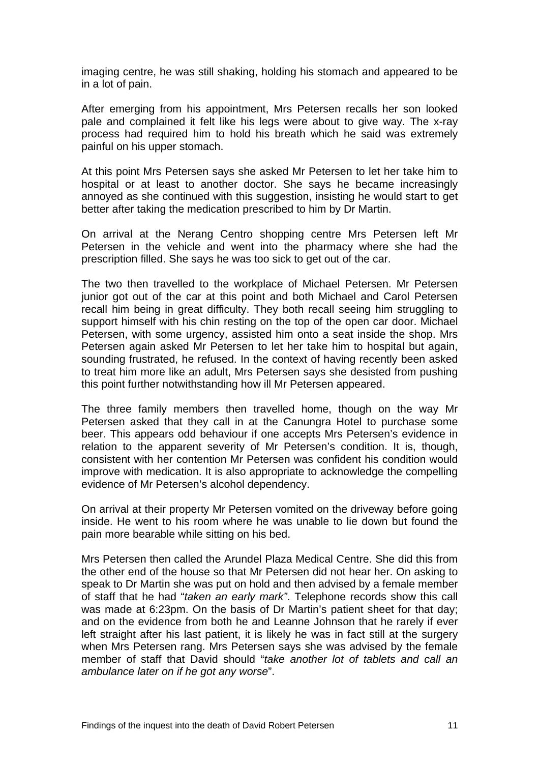imaging centre, he was still shaking, holding his stomach and appeared to be in a lot of pain.

After emerging from his appointment, Mrs Petersen recalls her son looked pale and complained it felt like his legs were about to give way. The x-ray process had required him to hold his breath which he said was extremely painful on his upper stomach.

At this point Mrs Petersen says she asked Mr Petersen to let her take him to hospital or at least to another doctor. She says he became increasingly annoyed as she continued with this suggestion, insisting he would start to get better after taking the medication prescribed to him by Dr Martin.

On arrival at the Nerang Centro shopping centre Mrs Petersen left Mr Petersen in the vehicle and went into the pharmacy where she had the prescription filled. She says he was too sick to get out of the car.

The two then travelled to the workplace of Michael Petersen. Mr Petersen junior got out of the car at this point and both Michael and Carol Petersen recall him being in great difficulty. They both recall seeing him struggling to support himself with his chin resting on the top of the open car door. Michael Petersen, with some urgency, assisted him onto a seat inside the shop. Mrs Petersen again asked Mr Petersen to let her take him to hospital but again, sounding frustrated, he refused. In the context of having recently been asked to treat him more like an adult, Mrs Petersen says she desisted from pushing this point further notwithstanding how ill Mr Petersen appeared.

The three family members then travelled home, though on the way Mr Petersen asked that they call in at the Canungra Hotel to purchase some beer. This appears odd behaviour if one accepts Mrs Petersen's evidence in relation to the apparent severity of Mr Petersen's condition. It is, though, consistent with her contention Mr Petersen was confident his condition would improve with medication. It is also appropriate to acknowledge the compelling evidence of Mr Petersen's alcohol dependency.

On arrival at their property Mr Petersen vomited on the driveway before going inside. He went to his room where he was unable to lie down but found the pain more bearable while sitting on his bed.

Mrs Petersen then called the Arundel Plaza Medical Centre. She did this from the other end of the house so that Mr Petersen did not hear her. On asking to speak to Dr Martin she was put on hold and then advised by a female member of staff that he had "*taken an early mark"*. Telephone records show this call was made at 6:23pm. On the basis of Dr Martin's patient sheet for that day; and on the evidence from both he and Leanne Johnson that he rarely if ever left straight after his last patient, it is likely he was in fact still at the surgery when Mrs Petersen rang. Mrs Petersen says she was advised by the female member of staff that David should "*take another lot of tablets and call an ambulance later on if he got any worse*".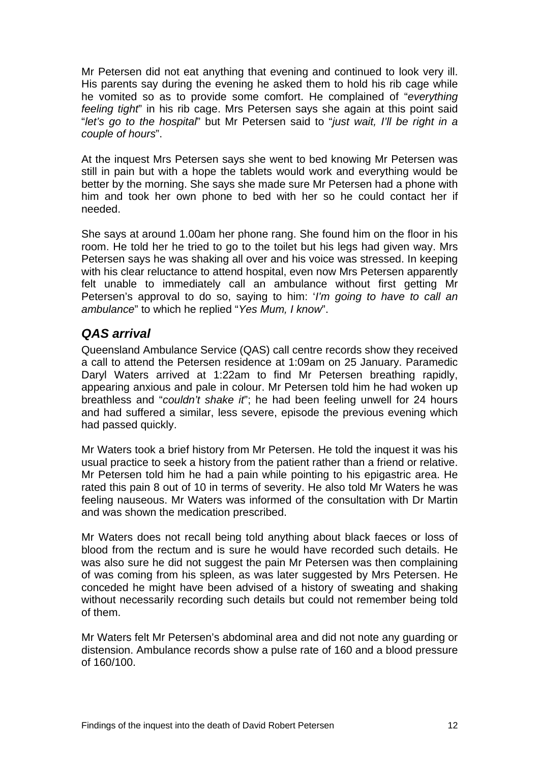<span id="page-13-0"></span>Mr Petersen did not eat anything that evening and continued to look very ill. His parents say during the evening he asked them to hold his rib cage while he vomited so as to provide some comfort. He complained of "*everything feeling tight*" in his rib cage. Mrs Petersen says she again at this point said "*let's go to the hospital*" but Mr Petersen said to "*just wait, I'll be right in a couple of hours*".

At the inquest Mrs Petersen says she went to bed knowing Mr Petersen was still in pain but with a hope the tablets would work and everything would be better by the morning. She says she made sure Mr Petersen had a phone with him and took her own phone to bed with her so he could contact her if needed.

She says at around 1.00am her phone rang. She found him on the floor in his room. He told her he tried to go to the toilet but his legs had given way. Mrs Petersen says he was shaking all over and his voice was stressed. In keeping with his clear reluctance to attend hospital, even now Mrs Petersen apparently felt unable to immediately call an ambulance without first getting Mr Petersen's approval to do so, saying to him: '*I'm going to have to call an ambulance*" to which he replied "*Yes Mum, I know*".

#### *QAS arrival*

Queensland Ambulance Service (QAS) call centre records show they received a call to attend the Petersen residence at 1:09am on 25 January. Paramedic Daryl Waters arrived at 1:22am to find Mr Petersen breathing rapidly, appearing anxious and pale in colour. Mr Petersen told him he had woken up breathless and "*couldn't shake it*"; he had been feeling unwell for 24 hours and had suffered a similar, less severe, episode the previous evening which had passed quickly.

Mr Waters took a brief history from Mr Petersen. He told the inquest it was his usual practice to seek a history from the patient rather than a friend or relative. Mr Petersen told him he had a pain while pointing to his epigastric area. He rated this pain 8 out of 10 in terms of severity. He also told Mr Waters he was feeling nauseous. Mr Waters was informed of the consultation with Dr Martin and was shown the medication prescribed.

Mr Waters does not recall being told anything about black faeces or loss of blood from the rectum and is sure he would have recorded such details. He was also sure he did not suggest the pain Mr Petersen was then complaining of was coming from his spleen, as was later suggested by Mrs Petersen. He conceded he might have been advised of a history of sweating and shaking without necessarily recording such details but could not remember being told of them.

Mr Waters felt Mr Petersen's abdominal area and did not note any guarding or distension. Ambulance records show a pulse rate of 160 and a blood pressure of 160/100.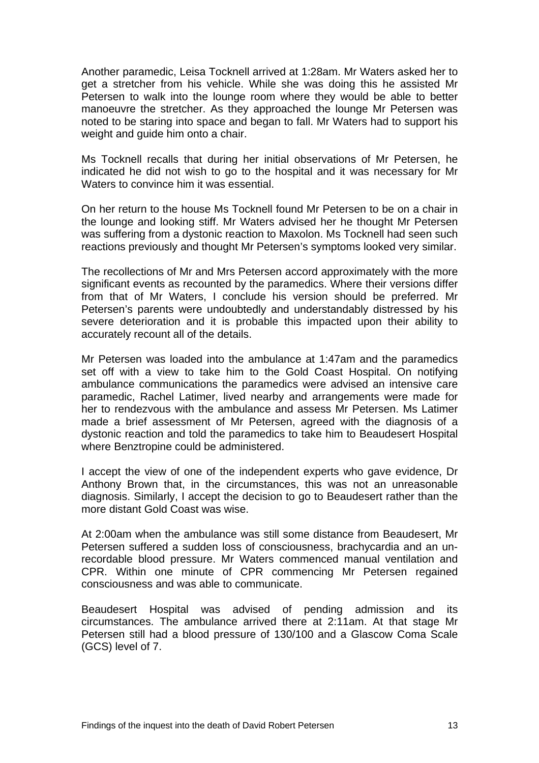Another paramedic, Leisa Tocknell arrived at 1:28am. Mr Waters asked her to get a stretcher from his vehicle. While she was doing this he assisted Mr Petersen to walk into the lounge room where they would be able to better manoeuvre the stretcher. As they approached the lounge Mr Petersen was noted to be staring into space and began to fall. Mr Waters had to support his weight and guide him onto a chair.

Ms Tocknell recalls that during her initial observations of Mr Petersen, he indicated he did not wish to go to the hospital and it was necessary for Mr Waters to convince him it was essential.

On her return to the house Ms Tocknell found Mr Petersen to be on a chair in the lounge and looking stiff. Mr Waters advised her he thought Mr Petersen was suffering from a dystonic reaction to Maxolon. Ms Tocknell had seen such reactions previously and thought Mr Petersen's symptoms looked very similar.

The recollections of Mr and Mrs Petersen accord approximately with the more significant events as recounted by the paramedics. Where their versions differ from that of Mr Waters, I conclude his version should be preferred. Mr Petersen's parents were undoubtedly and understandably distressed by his severe deterioration and it is probable this impacted upon their ability to accurately recount all of the details.

Mr Petersen was loaded into the ambulance at 1:47am and the paramedics set off with a view to take him to the Gold Coast Hospital. On notifying ambulance communications the paramedics were advised an intensive care paramedic, Rachel Latimer, lived nearby and arrangements were made for her to rendezvous with the ambulance and assess Mr Petersen. Ms Latimer made a brief assessment of Mr Petersen, agreed with the diagnosis of a dystonic reaction and told the paramedics to take him to Beaudesert Hospital where Benztropine could be administered.

I accept the view of one of the independent experts who gave evidence, Dr Anthony Brown that, in the circumstances, this was not an unreasonable diagnosis. Similarly, I accept the decision to go to Beaudesert rather than the more distant Gold Coast was wise.

At 2:00am when the ambulance was still some distance from Beaudesert, Mr Petersen suffered a sudden loss of consciousness, brachycardia and an unrecordable blood pressure. Mr Waters commenced manual ventilation and CPR. Within one minute of CPR commencing Mr Petersen regained consciousness and was able to communicate.

Beaudesert Hospital was advised of pending admission and its circumstances. The ambulance arrived there at 2:11am. At that stage Mr Petersen still had a blood pressure of 130/100 and a Glascow Coma Scale (GCS) level of 7.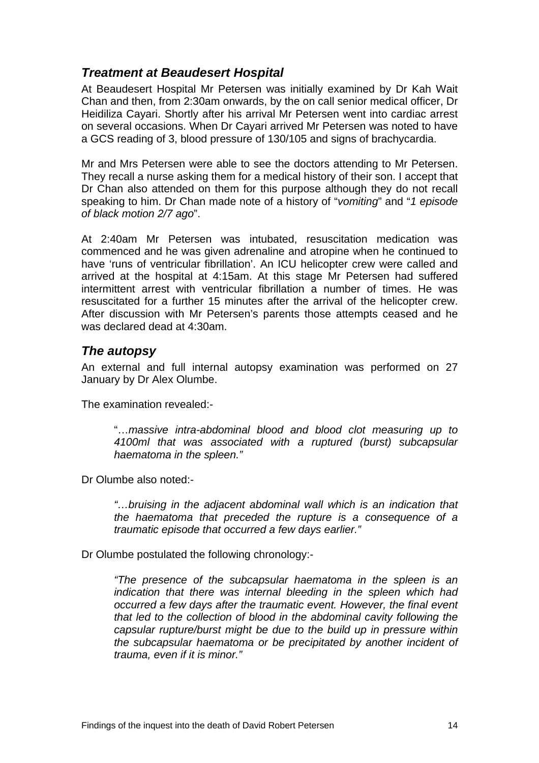#### <span id="page-15-0"></span>*Treatment at Beaudesert Hospital*

At Beaudesert Hospital Mr Petersen was initially examined by Dr Kah Wait Chan and then, from 2:30am onwards, by the on call senior medical officer, Dr Heidiliza Cayari. Shortly after his arrival Mr Petersen went into cardiac arrest on several occasions. When Dr Cayari arrived Mr Petersen was noted to have a GCS reading of 3, blood pressure of 130/105 and signs of brachycardia.

Mr and Mrs Petersen were able to see the doctors attending to Mr Petersen. They recall a nurse asking them for a medical history of their son. I accept that Dr Chan also attended on them for this purpose although they do not recall speaking to him. Dr Chan made note of a history of "*vomiting*" and "*1 episode of black motion 2/7 ago*".

At 2:40am Mr Petersen was intubated, resuscitation medication was commenced and he was given adrenaline and atropine when he continued to have 'runs of ventricular fibrillation'. An ICU helicopter crew were called and arrived at the hospital at 4:15am. At this stage Mr Petersen had suffered intermittent arrest with ventricular fibrillation a number of times. He was resuscitated for a further 15 minutes after the arrival of the helicopter crew. After discussion with Mr Petersen's parents those attempts ceased and he was declared dead at 4:30am.

#### *The autopsy*

An external and full internal autopsy examination was performed on 27 January by Dr Alex Olumbe.

The examination revealed:-

"…*massive intra-abdominal blood and blood clot measuring up to 4100ml that was associated with a ruptured (burst) subcapsular haematoma in the spleen."*

Dr Olumbe also noted:-

*"…bruising in the adjacent abdominal wall which is an indication that the haematoma that preceded the rupture is a consequence of a traumatic episode that occurred a few days earlier."* 

Dr Olumbe postulated the following chronology:-

*"The presence of the subcapsular haematoma in the spleen is an indication that there was internal bleeding in the spleen which had occurred a few days after the traumatic event. However, the final event that led to the collection of blood in the abdominal cavity following the capsular rupture/burst might be due to the build up in pressure within the subcapsular haematoma or be precipitated by another incident of trauma, even if it is minor."*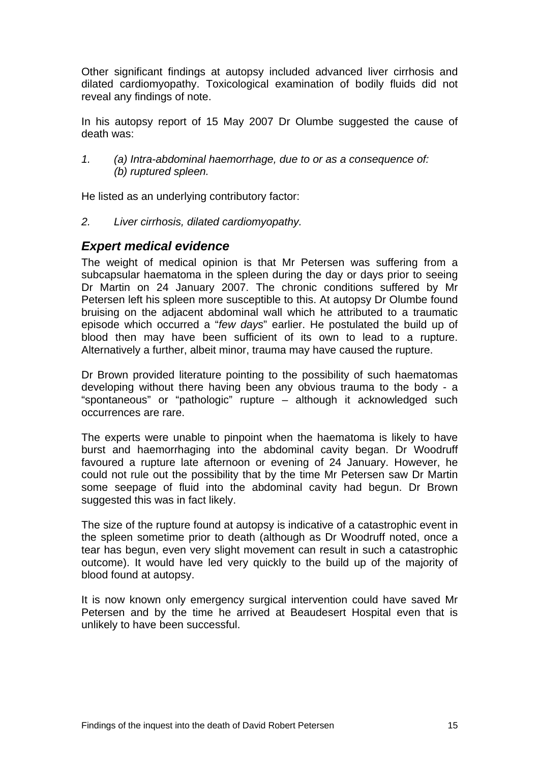<span id="page-16-0"></span>Other significant findings at autopsy included advanced liver cirrhosis and dilated cardiomyopathy. Toxicological examination of bodily fluids did not reveal any findings of note.

In his autopsy report of 15 May 2007 Dr Olumbe suggested the cause of death was:

*1. (a) Intra-abdominal haemorrhage, due to or as a consequence of: (b) ruptured spleen.* 

He listed as an underlying contributory factor:

*2. Liver cirrhosis, dilated cardiomyopathy.* 

#### *Expert medical evidence*

The weight of medical opinion is that Mr Petersen was suffering from a subcapsular haematoma in the spleen during the day or days prior to seeing Dr Martin on 24 January 2007. The chronic conditions suffered by Mr Petersen left his spleen more susceptible to this. At autopsy Dr Olumbe found bruising on the adjacent abdominal wall which he attributed to a traumatic episode which occurred a "*few days*" earlier. He postulated the build up of blood then may have been sufficient of its own to lead to a rupture. Alternatively a further, albeit minor, trauma may have caused the rupture.

Dr Brown provided literature pointing to the possibility of such haematomas developing without there having been any obvious trauma to the body - a "spontaneous" or "pathologic" rupture – although it acknowledged such occurrences are rare.

The experts were unable to pinpoint when the haematoma is likely to have burst and haemorrhaging into the abdominal cavity began. Dr Woodruff favoured a rupture late afternoon or evening of 24 January. However, he could not rule out the possibility that by the time Mr Petersen saw Dr Martin some seepage of fluid into the abdominal cavity had begun. Dr Brown suggested this was in fact likely.

The size of the rupture found at autopsy is indicative of a catastrophic event in the spleen sometime prior to death (although as Dr Woodruff noted, once a tear has begun, even very slight movement can result in such a catastrophic outcome). It would have led very quickly to the build up of the majority of blood found at autopsy.

It is now known only emergency surgical intervention could have saved Mr Petersen and by the time he arrived at Beaudesert Hospital even that is unlikely to have been successful.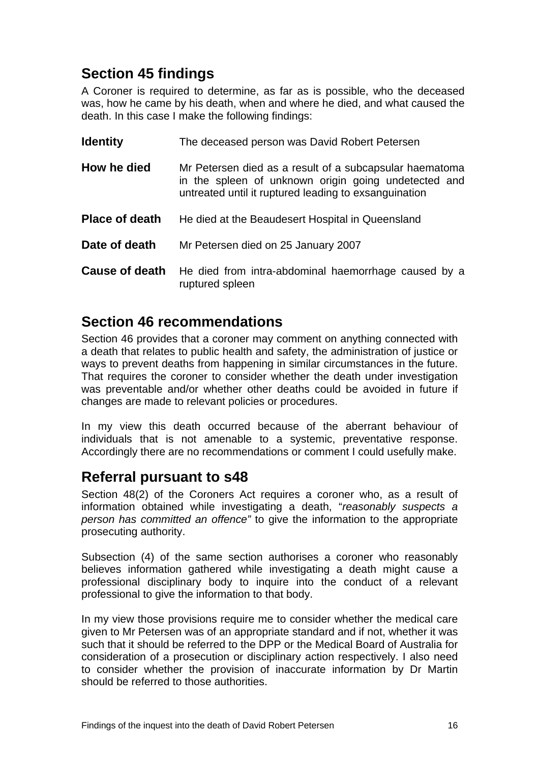# <span id="page-17-0"></span>**Section 45 findings**

A Coroner is required to determine, as far as is possible, who the deceased was, how he came by his death, when and where he died, and what caused the death. In this case I make the following findings:

| <b>Identity</b>       | The deceased person was David Robert Petersen                                                                                                                            |
|-----------------------|--------------------------------------------------------------------------------------------------------------------------------------------------------------------------|
| How he died           | Mr Petersen died as a result of a subcapsular haematoma<br>in the spleen of unknown origin going undetected and<br>untreated until it ruptured leading to exsanguination |
| <b>Place of death</b> | He died at the Beaudesert Hospital in Queensland                                                                                                                         |
| Date of death         | Mr Petersen died on 25 January 2007                                                                                                                                      |
| <b>Cause of death</b> | He died from intra-abdominal haemorrhage caused by a<br>ruptured spleen                                                                                                  |

### **Section 46 recommendations**

Section 46 provides that a coroner may comment on anything connected with a death that relates to public health and safety, the administration of justice or ways to prevent deaths from happening in similar circumstances in the future. That requires the coroner to consider whether the death under investigation was preventable and/or whether other deaths could be avoided in future if changes are made to relevant policies or procedures.

In my view this death occurred because of the aberrant behaviour of individuals that is not amenable to a systemic, preventative response. Accordingly there are no recommendations or comment I could usefully make.

# **Referral pursuant to s48**

Section 48(2) of the Coroners Act requires a coroner who, as a result of information obtained while investigating a death, "*reasonably suspects a person has committed an offence"* to give the information to the appropriate prosecuting authority.

Subsection (4) of the same section authorises a coroner who reasonably believes information gathered while investigating a death might cause a professional disciplinary body to inquire into the conduct of a relevant professional to give the information to that body.

In my view those provisions require me to consider whether the medical care given to Mr Petersen was of an appropriate standard and if not, whether it was such that it should be referred to the DPP or the Medical Board of Australia for consideration of a prosecution or disciplinary action respectively. I also need to consider whether the provision of inaccurate information by Dr Martin should be referred to those authorities.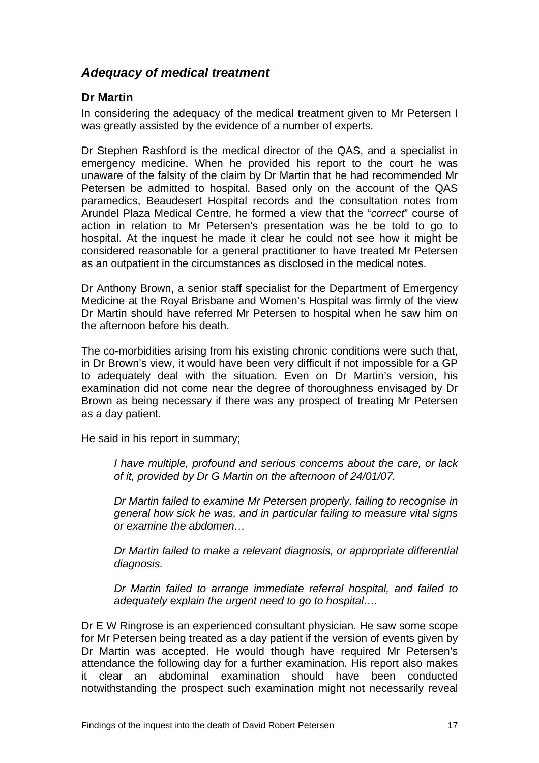#### <span id="page-18-0"></span>*Adequacy of medical treatment*

#### **Dr Martin**

In considering the adequacy of the medical treatment given to Mr Petersen I was greatly assisted by the evidence of a number of experts.

Dr Stephen Rashford is the medical director of the QAS, and a specialist in emergency medicine. When he provided his report to the court he was unaware of the falsity of the claim by Dr Martin that he had recommended Mr Petersen be admitted to hospital. Based only on the account of the QAS paramedics, Beaudesert Hospital records and the consultation notes from Arundel Plaza Medical Centre, he formed a view that the "*correct*" course of action in relation to Mr Petersen's presentation was he be told to go to hospital. At the inquest he made it clear he could not see how it might be considered reasonable for a general practitioner to have treated Mr Petersen as an outpatient in the circumstances as disclosed in the medical notes.

Dr Anthony Brown, a senior staff specialist for the Department of Emergency Medicine at the Royal Brisbane and Women's Hospital was firmly of the view Dr Martin should have referred Mr Petersen to hospital when he saw him on the afternoon before his death.

The co-morbidities arising from his existing chronic conditions were such that, in Dr Brown's view, it would have been very difficult if not impossible for a GP to adequately deal with the situation. Even on Dr Martin's version, his examination did not come near the degree of thoroughness envisaged by Dr Brown as being necessary if there was any prospect of treating Mr Petersen as a day patient.

He said in his report in summary;

*I have multiple, profound and serious concerns about the care, or lack of it, provided by Dr G Martin on the afternoon of 24/01/07.* 

*Dr Martin failed to examine Mr Petersen properly, failing to recognise in general how sick he was, and in particular failing to measure vital signs or examine the abdomen…* 

*Dr Martin failed to make a relevant diagnosis, or appropriate differential diagnosis.* 

*Dr Martin failed to arrange immediate referral hospital, and failed to adequately explain the urgent need to go to hospital….* 

Dr E W Ringrose is an experienced consultant physician. He saw some scope for Mr Petersen being treated as a day patient if the version of events given by Dr Martin was accepted. He would though have required Mr Petersen's attendance the following day for a further examination. His report also makes it clear an abdominal examination should have been conducted notwithstanding the prospect such examination might not necessarily reveal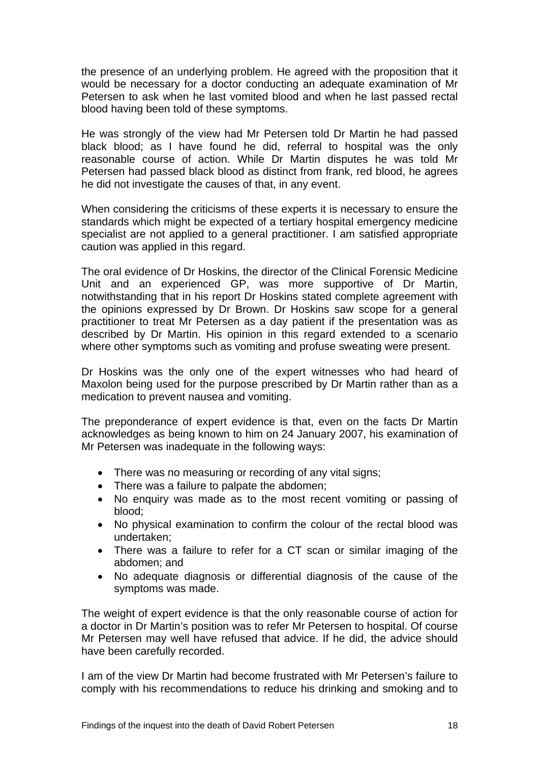the presence of an underlying problem. He agreed with the proposition that it would be necessary for a doctor conducting an adequate examination of Mr Petersen to ask when he last vomited blood and when he last passed rectal blood having been told of these symptoms.

He was strongly of the view had Mr Petersen told Dr Martin he had passed black blood; as I have found he did, referral to hospital was the only reasonable course of action. While Dr Martin disputes he was told Mr Petersen had passed black blood as distinct from frank, red blood, he agrees he did not investigate the causes of that, in any event.

When considering the criticisms of these experts it is necessary to ensure the standards which might be expected of a tertiary hospital emergency medicine specialist are not applied to a general practitioner. I am satisfied appropriate caution was applied in this regard.

The oral evidence of Dr Hoskins, the director of the Clinical Forensic Medicine Unit and an experienced GP, was more supportive of Dr Martin, notwithstanding that in his report Dr Hoskins stated complete agreement with the opinions expressed by Dr Brown. Dr Hoskins saw scope for a general practitioner to treat Mr Petersen as a day patient if the presentation was as described by Dr Martin. His opinion in this regard extended to a scenario where other symptoms such as vomiting and profuse sweating were present.

Dr Hoskins was the only one of the expert witnesses who had heard of Maxolon being used for the purpose prescribed by Dr Martin rather than as a medication to prevent nausea and vomiting.

The preponderance of expert evidence is that, even on the facts Dr Martin acknowledges as being known to him on 24 January 2007, his examination of Mr Petersen was inadequate in the following ways:

- There was no measuring or recording of any vital signs;
- There was a failure to palpate the abdomen;
- No enquiry was made as to the most recent vomiting or passing of blood;
- No physical examination to confirm the colour of the rectal blood was undertaken;
- There was a failure to refer for a CT scan or similar imaging of the abdomen; and
- No adequate diagnosis or differential diagnosis of the cause of the symptoms was made.

The weight of expert evidence is that the only reasonable course of action for a doctor in Dr Martin's position was to refer Mr Petersen to hospital. Of course Mr Petersen may well have refused that advice. If he did, the advice should have been carefully recorded.

I am of the view Dr Martin had become frustrated with Mr Petersen's failure to comply with his recommendations to reduce his drinking and smoking and to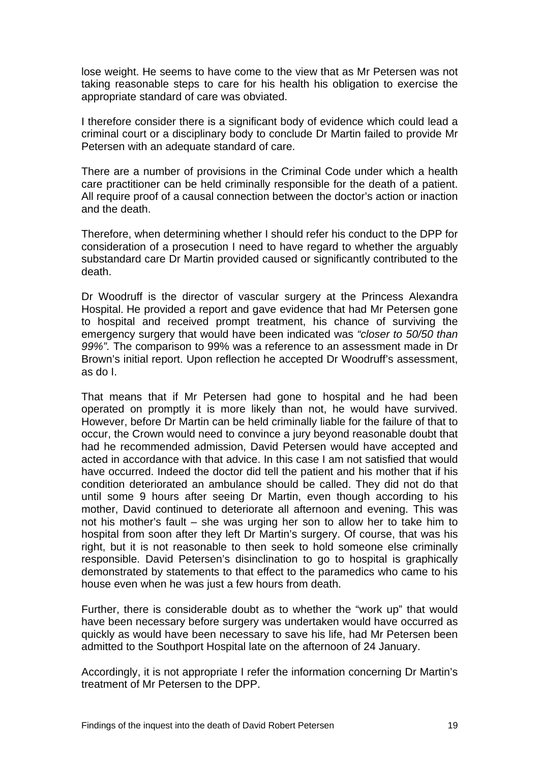lose weight. He seems to have come to the view that as Mr Petersen was not taking reasonable steps to care for his health his obligation to exercise the appropriate standard of care was obviated.

I therefore consider there is a significant body of evidence which could lead a criminal court or a disciplinary body to conclude Dr Martin failed to provide Mr Petersen with an adequate standard of care.

There are a number of provisions in the Criminal Code under which a health care practitioner can be held criminally responsible for the death of a patient. All require proof of a causal connection between the doctor's action or inaction and the death.

Therefore, when determining whether I should refer his conduct to the DPP for consideration of a prosecution I need to have regard to whether the arguably substandard care Dr Martin provided caused or significantly contributed to the death.

Dr Woodruff is the director of vascular surgery at the Princess Alexandra Hospital. He provided a report and gave evidence that had Mr Petersen gone to hospital and received prompt treatment, his chance of surviving the emergency surgery that would have been indicated was *"closer to 50/50 than 99%".* The comparison to 99% was a reference to an assessment made in Dr Brown's initial report. Upon reflection he accepted Dr Woodruff's assessment, as do I.

That means that if Mr Petersen had gone to hospital and he had been operated on promptly it is more likely than not, he would have survived. However, before Dr Martin can be held criminally liable for the failure of that to occur, the Crown would need to convince a jury beyond reasonable doubt that had he recommended admission, David Petersen would have accepted and acted in accordance with that advice. In this case I am not satisfied that would have occurred. Indeed the doctor did tell the patient and his mother that if his condition deteriorated an ambulance should be called. They did not do that until some 9 hours after seeing Dr Martin, even though according to his mother, David continued to deteriorate all afternoon and evening. This was not his mother's fault – she was urging her son to allow her to take him to hospital from soon after they left Dr Martin's surgery. Of course, that was his right, but it is not reasonable to then seek to hold someone else criminally responsible. David Petersen's disinclination to go to hospital is graphically demonstrated by statements to that effect to the paramedics who came to his house even when he was just a few hours from death.

Further, there is considerable doubt as to whether the "work up" that would have been necessary before surgery was undertaken would have occurred as quickly as would have been necessary to save his life, had Mr Petersen been admitted to the Southport Hospital late on the afternoon of 24 January.

Accordingly, it is not appropriate I refer the information concerning Dr Martin's treatment of Mr Petersen to the DPP.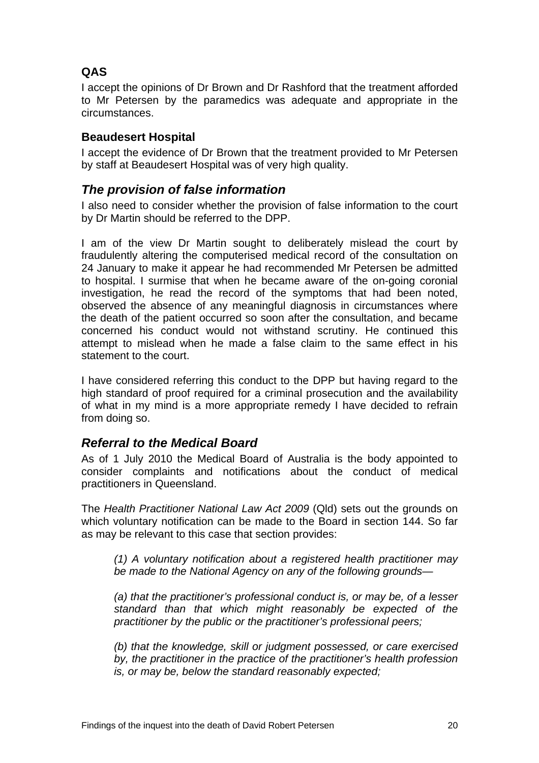#### <span id="page-21-0"></span>**QAS**

I accept the opinions of Dr Brown and Dr Rashford that the treatment afforded to Mr Petersen by the paramedics was adequate and appropriate in the circumstances.

#### **Beaudesert Hospital**

I accept the evidence of Dr Brown that the treatment provided to Mr Petersen by staff at Beaudesert Hospital was of very high quality.

#### *The provision of false information*

I also need to consider whether the provision of false information to the court by Dr Martin should be referred to the DPP.

I am of the view Dr Martin sought to deliberately mislead the court by fraudulently altering the computerised medical record of the consultation on 24 January to make it appear he had recommended Mr Petersen be admitted to hospital. I surmise that when he became aware of the on-going coronial investigation, he read the record of the symptoms that had been noted, observed the absence of any meaningful diagnosis in circumstances where the death of the patient occurred so soon after the consultation, and became concerned his conduct would not withstand scrutiny. He continued this attempt to mislead when he made a false claim to the same effect in his statement to the court.

I have considered referring this conduct to the DPP but having regard to the high standard of proof required for a criminal prosecution and the availability of what in my mind is a more appropriate remedy I have decided to refrain from doing so.

#### *Referral to the Medical Board*

As of 1 July 2010 the Medical Board of Australia is the body appointed to consider complaints and notifications about the conduct of medical practitioners in Queensland.

The *Health Practitioner National Law Act 2009* (Qld) sets out the grounds on which voluntary notification can be made to the Board in section 144. So far as may be relevant to this case that section provides:

*(1) A voluntary notification about a registered health practitioner may be made to the National Agency on any of the following grounds—* 

*(a) that the practitioner's professional conduct is, or may be, of a lesser standard than that which might reasonably be expected of the practitioner by the public or the practitioner's professional peers;* 

*(b) that the knowledge, skill or judgment possessed, or care exercised by, the practitioner in the practice of the practitioner's health profession is, or may be, below the standard reasonably expected;*